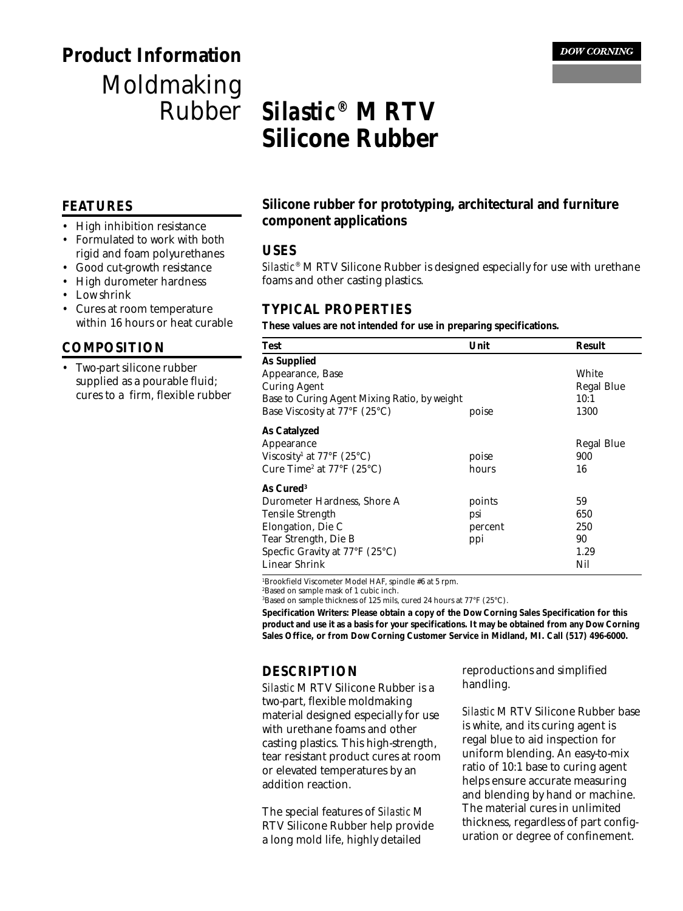## **Product Information** Moldmaking Rubber

# **Silastic<sup>®</sup> M RTV Silicone Rubber**

#### **FEATURES**

- High inhibition resistance
- Formulated to work with both rigid and foam polyurethanes
- Good cut-growth resistance
- High durometer hardness
- Low shrink
- Cures at room temperature within 16 hours or heat curable

#### **COMPOSITION**

• Two-part silicone rubber supplied as a pourable fluid; cures to a firm, flexible rubber

## **Silicone rubber for prototyping, architectural and furniture component applications**

#### **USES**

*Silastic*® M RTV Silicone Rubber is designed especially for use with urethane foams and other casting plastics.

### **TYPICAL PROPERTIES**

#### **These values are not intended for use in preparing specifications.**

| <b>Test</b>                                                  | Unit    | <b>Result</b>     |
|--------------------------------------------------------------|---------|-------------------|
| <b>As Supplied</b>                                           |         |                   |
| Appearance, Base                                             |         | White             |
| <b>Curing Agent</b>                                          |         | <b>Regal Blue</b> |
| Base to Curing Agent Mixing Ratio, by weight                 | 10:1    |                   |
| Base Viscosity at 77°F (25°C)                                | poise   | 1300              |
| <b>As Catalyzed</b>                                          |         |                   |
| Appearance                                                   |         | <b>Regal Blue</b> |
| Viscosity <sup>1</sup> at $77^{\circ}$ F (25 <sup>°</sup> C) | poise   | 900               |
| Cure Time <sup>2</sup> at $77^{\circ}$ F (25 $^{\circ}$ C)   | hours   | 16                |
| As Cured <sup>3</sup>                                        |         |                   |
| Durometer Hardness, Shore A                                  | points  | 59                |
| <b>Tensile Strength</b>                                      | psi     | 650               |
| Elongation, Die C                                            | percent | 250               |
| Tear Strength, Die B                                         | ppi     | 90                |
| Specfic Gravity at 77°F (25°C)                               |         | 1.29              |
| <b>Linear Shrink</b>                                         |         | Nil               |

1 Brookfield Viscometer Model HAF, spindle #6 at 5 rpm.

2 Based on sample mask of 1 cubic inch.

 $^3$ Based on sample thickness of 125 mils, cured 24 hours at 77°F (25°C).

**Specification Writers: Please obtain a copy of the Dow Corning Sales Specification for this product and use it as a basis for your specifications. It may be obtained from any Dow Corning Sales Office, or from Dow Corning Customer Service in Midland, MI. Call (517) 496-6000.**

### **DESCRIPTION**

*Silastic* M RTV Silicone Rubber is a two-part, flexible moldmaking material designed especially for use with urethane foams and other casting plastics. This high-strength, tear resistant product cures at room or elevated temperatures by an addition reaction.

The special features of *Silastic* M RTV Silicone Rubber help provide a long mold life, highly detailed

reproductions and simplified handling.

*Silastic* M RTV Silicone Rubber base is white, and its curing agent is regal blue to aid inspection for uniform blending. An easy-to-mix ratio of 10:1 base to curing agent helps ensure accurate measuring and blending by hand or machine. The material cures in unlimited thickness, regardless of part configuration or degree of confinement.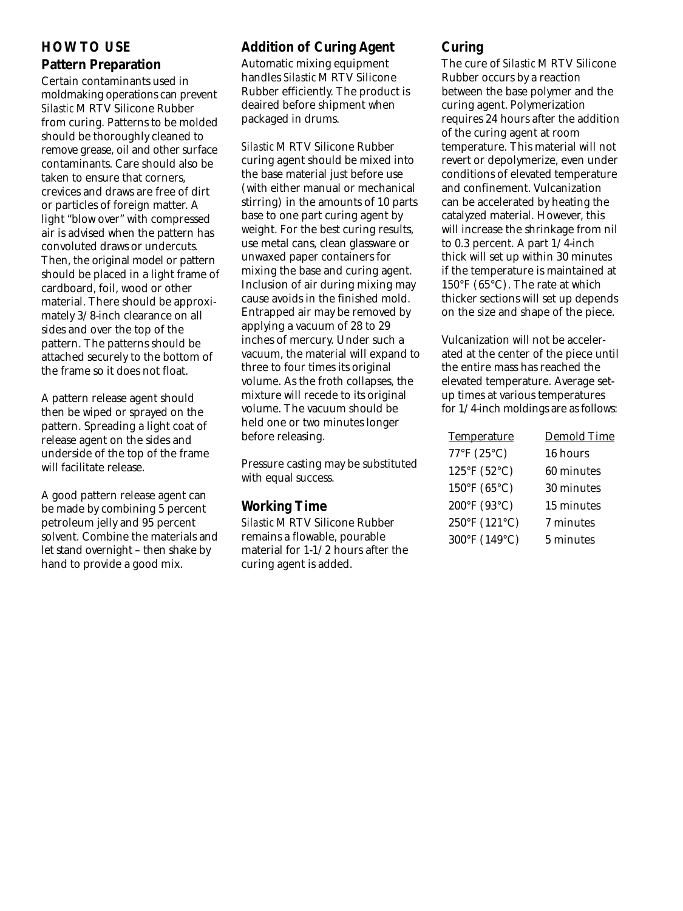## **HOW TO USE Pattern Preparation**

Certain contaminants used in moldmaking operations can prevent *Silastic* M RTV Silicone Rubber from curing. Patterns to be molded should be thoroughly cleaned to remove grease, oil and other surface contaminants. Care should also be taken to ensure that corners, crevices and draws are free of dirt or particles of foreign matter. A light "blow over" with compressed air is advised when the pattern has convoluted draws or undercuts. Then, the original model or pattern should be placed in a light frame of cardboard, foil, wood or other material. There should be approximately 3/8-inch clearance on all sides and over the top of the pattern. The patterns should be attached securely to the bottom of the frame so it does not float.

A pattern release agent should then be wiped or sprayed on the pattern. Spreading a light coat of release agent on the sides and underside of the top of the frame will facilitate release.

A good pattern release agent can be made by combining 5 percent petroleum jelly and 95 percent solvent. Combine the materials and let stand overnight – then shake by hand to provide a good mix.

## **Addition of Curing Agent**

Automatic mixing equipment handles *Silastic* M RTV Silicone Rubber efficiently. The product is deaired before shipment when packaged in drums.

*Silastic* M RTV Silicone Rubber curing agent should be mixed into the base material just before use (with either manual or mechanical stirring) in the amounts of 10 parts base to one part curing agent by weight. For the best curing results, use metal cans, clean glassware or unwaxed paper containers for mixing the base and curing agent. Inclusion of air during mixing may cause avoids in the finished mold. Entrapped air may be removed by applying a vacuum of 28 to 29 inches of mercury. Under such a vacuum, the material will expand to three to four times its original volume. As the froth collapses, the mixture will recede to its original volume. The vacuum should be held one or two minutes longer before releasing.

Pressure casting may be substituted with equal success.

## **Working Time**

*Silastic* M RTV Silicone Rubber remains a flowable, pourable material for 1-1/2 hours after the curing agent is added.

## **Curing**

The cure of *Silastic* M RTV Silicone Rubber occurs by a reaction between the base polymer and the curing agent. Polymerization requires 24 hours after the addition of the curing agent at room temperature. This material will not revert or depolymerize, even under conditions of elevated temperature and confinement. Vulcanization can be accelerated by heating the catalyzed material. However, this will increase the shrinkage from nil to 0.3 percent. A part 1/4-inch thick will set up within 30 minutes if the temperature is maintained at 150°F (65°C). The rate at which thicker sections will set up depends on the size and shape of the piece.

Vulcanization will not be accelerated at the center of the piece until the entire mass has reached the elevated temperature. Average setup times at various temperatures for 1/4-inch moldings are as follows:

| <b>Temperature</b>          | Demold Time |
|-----------------------------|-------------|
| 77°F (25°C)                 | 16 hours    |
| $125^{\circ}F(52^{\circ}C)$ | 60 minutes  |
| 150°F (65°C)                | 30 minutes  |
| 200°F (93°C)                | 15 minutes  |
| 250°F (121°C)               | 7 minutes   |
| 300°F (149°C)               | 5 minutes   |